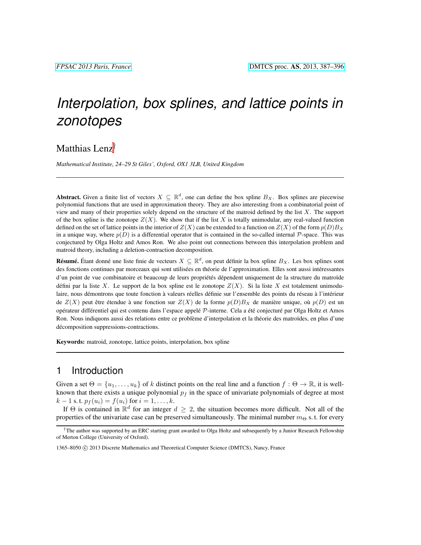# *Interpolation, box splines, and lattice points in zonotopes*

## Matthias Lenz†

*Mathematical Institute, 24–29 St Giles', Oxford, OX1 3LB, United Kingdom*

**Abstract.** Given a finite list of vectors  $X \subseteq \mathbb{R}^d$ , one can define the box spline  $B_X$ . Box splines are piecewise polynomial functions that are used in approximation theory. They are also interesting from a combinatorial point of view and many of their properties solely depend on the structure of the matroid defined by the list  $X$ . The support of the box spline is the zonotope  $Z(X)$ . We show that if the list X is totally unimodular, any real-valued function defined on the set of lattice points in the interior of  $Z(X)$  can be extended to a function on  $Z(X)$  of the form  $p(D)B_X$ in a unique way, where  $p(D)$  is a differential operator that is contained in the so-called internal  $P$ -space. This was conjectured by Olga Holtz and Amos Ron. We also point out connections between this interpolation problem and matroid theory, including a deletion-contraction decomposition.

**Résumé.** Étant donné une liste finie de vecteurs  $X \subseteq \mathbb{R}^d$ , on peut définir la box spline  $B_X$ . Les box splines sont des fonctions continues par morceaux qui sont utilisées en théorie de l'approximation. Elles sont aussi intéressantes d'un point de vue combinatoire et beaucoup de leurs propriétés dépendent uniquement de la structure du matroïde défini par la liste X. Le support de la box spline est le zonotope  $Z(X)$ . Si la liste X est totalement unimodulaire, nous démontrons que toute fonction à valeurs réelles définie sur l'ensemble des points du réseau à l'intérieur de  $Z(X)$  peut être étendue à une fonction sur  $Z(X)$  de la forme  $p(D)B_X$  de manière unique, où  $p(D)$  est un opérateur différentiel qui est contenu dans l'espace appelé P-interne. Cela a été conjecturé par Olga Holtz et Amos Ron. Nous indiquons aussi des relations entre ce problème d'interpolation et la théorie des matroïdes, en plus d'une décomposition suppressions-contractions.

Keywords: matroid, zonotope, lattice points, interpolation, box spline

### 1 Introduction

Given a set  $\Theta = \{u_1, \ldots, u_k\}$  of k distinct points on the real line and a function  $f : \Theta \to \mathbb{R}$ , it is wellknown that there exists a unique polynomial  $p_f$  in the space of univariate polynomials of degree at most  $k-1$  s. t.  $p_f(u_i) = f(u_i)$  for  $i = 1, ..., k$ .

If  $\Theta$  is contained in  $\mathbb{R}^d$  for an integer  $d \geq 2$ , the situation becomes more difficult. Not all of the properties of the univariate case can be preserved simultaneously. The minimal number  $m_{\Theta}$  s. t. for every

<sup>†</sup>The author was supported by an ERC starting grant awarded to Olga Holtz and subsequently by a Junior Research Fellowship of Merton College (University of Oxford).

<sup>1365–8050 (</sup>C) 2013 Discrete Mathematics and Theoretical Computer Science (DMTCS), Nancy, France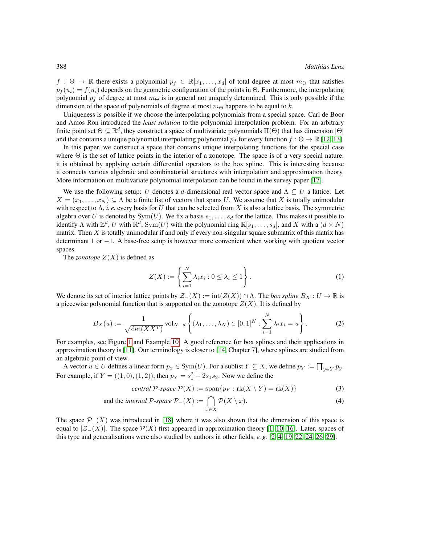$f : \Theta \to \mathbb{R}$  there exists a polynomial  $p_f \in \mathbb{R}[x_1, \ldots, x_d]$  of total degree at most  $m_{\Theta}$  that satisfies  $p_f (u_i) = f(u_i)$  depends on the geometric configuration of the points in  $\Theta$ . Furthermore, the interpolating polynomial  $p_f$  of degree at most  $m_{\Theta}$  is in general not uniquely determined. This is only possible if the dimension of the space of polynomials of degree at most  $m_{\Theta}$  happens to be equal to k.

Uniqueness is possible if we choose the interpolating polynomials from a special space. Carl de Boor and Amos Ron introduced the *least solution* to the polynomial interpolation problem. For an arbitrary finite point set  $\Theta \subseteq \mathbb{R}^d$ , they construct a space of multivariate polynomials  $\Pi(\Theta)$  that has dimension  $|\Theta|$ and that contains a unique polynomial interpolating polynomial  $p_f$  for every function  $f : \Theta \to \mathbb{R}$  [\[12,](#page-8-0) [13\]](#page-8-1).

In this paper, we construct a space that contains unique interpolating functions for the special case where  $\Theta$  is the set of lattice points in the interior of a zonotope. The space is of a very special nature: it is obtained by applying certain differential operators to the box spline. This is interesting because it connects various algebraic and combinatorial structures with interpolation and approximation theory. More information on multivariate polynomial interpolation can be found in the survey paper [\[17\]](#page-9-0).

We use the following setup: U denotes a d-dimensional real vector space and  $\Lambda \subseteq U$  a lattice. Let  $X = (x_1, \ldots, x_N) \subseteq \Lambda$  be a finite list of vectors that spans U. We assume that X is totally unimodular with respect to  $\Lambda$ , *i. e.* every basis for U that can be selected from X is also a lattice basis. The symmetric algebra over U is denoted by  $Sym(U)$ . We fix a basis  $s_1, \ldots, s_d$  for the lattice. This makes it possible to identify  $\Lambda$  with  $\mathbb{Z}^d$ ,  $U$  with  $\mathbb{R}^d$ ,  $Sym(U)$  with the polynomial ring  $\mathbb{R}[s_1,\ldots,s_d]$ , and  $X$  with a  $(d \times N)$ matrix. Then  $X$  is totally unimodular if and only if every non-singular square submatrix of this matrix has determinant 1 or −1. A base-free setup is however more convenient when working with quotient vector spaces.

The *zonotope*  $Z(X)$  is defined as

$$
Z(X) := \left\{ \sum_{i=1}^{N} \lambda_i x_i : 0 \le \lambda_i \le 1 \right\}.
$$
 (1)

We denote its set of interior lattice points by  $\mathcal{Z}_-(X) := \text{int}(Z(X)) \cap \Lambda$ . The *box spline*  $B_X : U \to \mathbb{R}$  is a piecewise polynomial function that is supported on the zonotope  $Z(X)$ . It is defined by

$$
B_X(u) := \frac{1}{\sqrt{\det(XX^T)}} \operatorname{vol}_{N-d} \left\{ (\lambda_1, \dots, \lambda_N) \in [0,1]^N : \sum_{i=1}^N \lambda_i x_i = u \right\}.
$$
 (2)

For examples, see Figure [1](#page-3-0) and Example [10.](#page-4-0) A good reference for box splines and their applications in approximation theory is [\[11\]](#page-8-2). Our terminology is closer to [\[14,](#page-8-3) Chapter 7], where splines are studied from an algebraic point of view.

A vector  $u \in U$  defines a linear form  $p_x \in \text{Sym}(U)$ . For a sublist  $Y \subseteq X$ , we define  $p_Y := \prod_{y \in Y} p_y$ . For example, if  $Y = ((1,0), (1, 2))$ , then  $p_Y = s_1^2 + 2s_1s_2$ . Now we define the

$$
central P-space P(X) := span{p_Y : rk(X \setminus Y) = rk(X)}
$$
\n(3)

and the *internal* 
$$
P
$$
-space  $P_{-}(X) := \bigcap_{x \in X} P(X \setminus x)$ . (4)

The space  $\mathcal{P}_-(X)$  was introduced in [\[18\]](#page-9-1) where it was also shown that the dimension of this space is equal to  $|\mathcal{Z}_-(X)|$ . The space  $\mathcal{P}(X)$  first appeared in approximation theory [\[1,](#page-8-4) [10,](#page-8-5) [16\]](#page-8-6). Later, spaces of this type and generalisations were also studied by authors in other fields, *e. g.* [\[2,](#page-8-7) [4,](#page-8-8) [19,](#page-9-2) [22,](#page-9-3) [24,](#page-9-4) [26,](#page-9-5) [29\]](#page-9-6).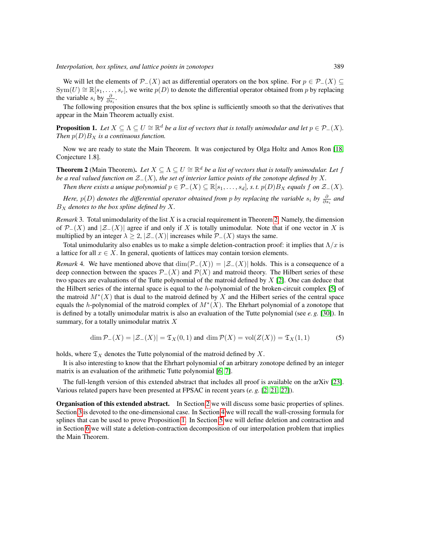We will let the elements of  $\mathcal{P}_-(X)$  act as differential operators on the box spline. For  $p \in \mathcal{P}_-(X) \subseteq$  $Sym(U) \cong \mathbb{R}[s_1, \ldots, s_r]$ , we write  $p(D)$  to denote the differential operator obtained from p by replacing the variable  $s_i$  by  $\frac{\partial}{\partial s_i}$ .

The following proposition ensures that the box spline is sufficiently smooth so that the derivatives that appear in the Main Theorem actually exist.

<span id="page-2-1"></span>**Proposition 1.** Let  $X \subseteq \Lambda \subseteq U \cong \mathbb{R}^d$  be a list of vectors that is totally unimodular and let  $p \in \mathcal{P}_-(X)$ . *Then*  $p(D)B_X$  *is a continuous function.* 

Now we are ready to state the Main Theorem. It was conjectured by Olga Holtz and Amos Ron [\[18,](#page-9-1) Conjecture 1.8].

<span id="page-2-0"></span>**Theorem 2** (Main Theorem). Let  $X \subseteq \Lambda \subseteq U \cong \mathbb{R}^d$  be a list of vectors that is totally unimodular. Let f *be a real valued function on*  $\mathcal{Z}_-(X)$ *, the set of interior lattice points of the zonotope defined by* X.

*Then there exists a unique polynomial*  $p \in \mathcal{P}_-(X) \subseteq \mathbb{R}[s_1,\ldots,s_d]$ , *s. t.*  $p(D)B_X$  *equals*  $f$  *on*  $\mathcal{Z}_-(X)$ *.* 

*Here,*  $p(D)$  *denotes the differential operator obtained from*  $p$  *by replacing the variable*  $s_i$  *by*  $\frac{\partial}{\partial s_i}$  *and*  $B_X$  *denotes to the box spline defined by* X.

*Remark* 3*.* Total unimodularity of the list X is a crucial requirement in Theorem [2.](#page-2-0) Namely, the dimension of  $\mathcal{P}_-(X)$  and  $|\mathcal{Z}_-(X)|$  agree if and only if X is totally unimodular. Note that if one vector in X is multiplied by an integer  $\lambda \geq 2$ ,  $|\mathcal{Z}_-(X)|$  increases while  $\mathcal{P}_-(X)$  stays the same.

Total unimodularity also enables us to make a simple deletion-contraction proof: it implies that  $\Lambda/x$  is a lattice for all  $x \in X$ . In general, quotients of lattices may contain torsion elements.

*Remark* 4. We have mentioned above that  $\dim(\mathcal{P}_-(X)) = |\mathcal{Z}_-(X)|$  holds. This is a consequence of a deep connection between the spaces  $\mathcal{P}_-(X)$  and  $\mathcal{P}(X)$  and matroid theory. The Hilbert series of these two spaces are evaluations of the Tutte polynomial of the matroid defined by  $X$  [\[2\]](#page-8-7). One can deduce that the Hilbert series of the internal space is equal to the h-polynomial of the broken-circuit complex [\[5\]](#page-8-9) of the matroid  $M^*(X)$  that is dual to the matroid defined by X and the Hilbert series of the central space equals the h-polynomial of the matroid complex of  $M^*(X)$ . The Ehrhart polynomial of a zonotope that is defined by a totally unimodular matrix is also an evaluation of the Tutte polynomial (see *e. g.* [\[30\]](#page-9-7)). In summary, for a totally unimodular matrix  $X$ 

$$
\dim \mathcal{P}_-(X) = |\mathcal{Z}_-(X)| = \mathfrak{T}_X(0,1) \text{ and } \dim \mathcal{P}(X) = \text{vol}(Z(X)) = \mathfrak{T}_X(1,1) \tag{5}
$$

holds, where  $\mathfrak{T}_X$  denotes the Tutte polynomial of the matroid defined by X.

It is also interesting to know that the Ehrhart polynomial of an arbitrary zonotope defined by an integer matrix is an evaluation of the arithmetic Tutte polynomial [\[6,](#page-8-10) [7\]](#page-8-11).

The full-length version of this extended abstract that includes all proof is available on the arXiv [\[23\]](#page-9-8). Various related papers have been presented at FPSAC in recent years (*e. g.* [\[2,](#page-8-7) [21,](#page-9-9) [27\]](#page-9-10)).

Organisation of this extended abstract. In Section [2](#page-3-1) we will discuss some basic properties of splines. Section [3](#page-4-1) is devoted to the one-dimensional case. In Section [4](#page-5-0) we will recall the wall-crossing formula for splines that can be used to prove Proposition [1.](#page-2-1) In Section [5](#page-6-0) we will define deletion and contraction and in Section [6](#page-6-1) we will state a deletion-contraction decomposition of our interpolation problem that implies the Main Theorem.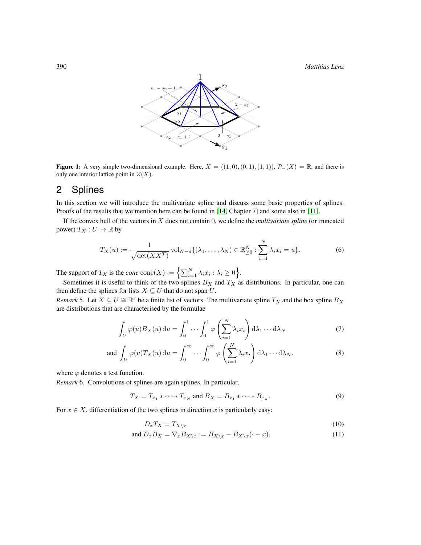390 *Matthias Lenz*



<span id="page-3-0"></span>**Figure 1:** A very simple two-dimensional example. Here,  $X = ((1,0), (0,1), (1,1)),$   $\mathcal{P}_-(X) = \mathbb{R}$ , and there is only one interior lattice point in  $Z(X)$ .

## <span id="page-3-1"></span>2 Splines

In this section we will introduce the multivariate spline and discuss some basic properties of splines. Proofs of the results that we mention here can be found in [\[14,](#page-8-3) Chapter 7] and some also in [\[11\]](#page-8-2).

If the convex hull of the vectors in X does not contain 0, we define the *multivariate spline* (or truncated power)  $T_X: U \to \mathbb{R}$  by

$$
T_X(u) := \frac{1}{\sqrt{\det(XX^T)}} \operatorname{vol}_{N-d} \{ (\lambda_1, \dots, \lambda_N) \in \mathbb{R}_{\geq 0}^N : \sum_{i=1}^N \lambda_i x_i = u \}.
$$
 (6)

The support of  $T_X$  is the *cone*  $\text{cone}(X) := \left\{ \sum_{i=1}^N \lambda_i x_i : \lambda_i \ge 0 \right\}.$ 

Sometimes it is useful to think of the two splines  $B_X$  and  $T_X$  as distributions. In particular, one can then define the splines for lists  $X \subseteq U$  that do not span U.

*Remark* 5. Let  $X \subseteq U \cong \mathbb{R}^r$  be a finite list of vectors. The multivariate spline  $T_X$  and the box spline  $B_X$ are distributions that are characterised by the formulae

$$
\int_{U} \varphi(u) B_X(u) \, \mathrm{d}u = \int_0^1 \cdots \int_0^1 \varphi\left(\sum_{i=1}^N \lambda_i x_i\right) \mathrm{d}\lambda_1 \cdots \mathrm{d}\lambda_N \tag{7}
$$

and 
$$
\int_{U} \varphi(u) T_X(u) du = \int_{0}^{\infty} \cdots \int_{0}^{\infty} \varphi\left(\sum_{i=1}^{N} \lambda_i x_i\right) d\lambda_1 \cdots d\lambda_N.
$$
 (8)

where  $\varphi$  denotes a test function.

*Remark* 6*.* Convolutions of splines are again splines. In particular,

$$
T_X = T_{x_1} * \dots * T_{x_N} \text{ and } B_X = B_{x_1} * \dots * B_{x_n}.
$$
 (9)

<span id="page-3-3"></span>For  $x \in X$ , differentiation of the two splines in direction x is particularly easy:

<span id="page-3-4"></span><span id="page-3-2"></span>
$$
D_x T_X = T_{X \setminus x} \tag{10}
$$

and 
$$
D_x B_X = \nabla_x B_{X \setminus x} := B_{X \setminus x} - B_{X \setminus x} (\cdot - x).
$$
 (11)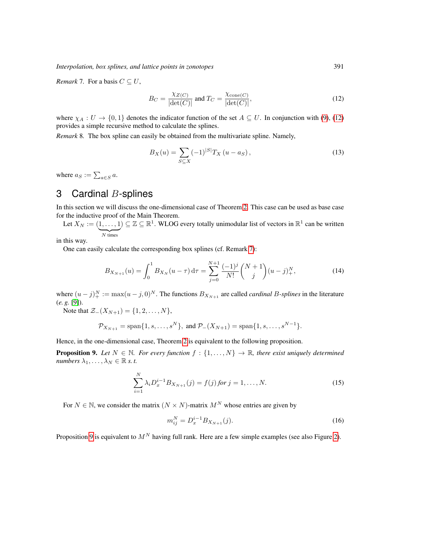*Interpolation, box splines, and lattice points in zonotopes* 391

*Remark* 7. For a basis  $C \subseteq U$ ,

<span id="page-4-2"></span>
$$
B_C = \frac{\chi_{Z(C)}}{|\det(C)|} \text{ and } T_C = \frac{\chi_{\text{cone}(C)}}{|\det(C)|},\tag{12}
$$

where  $\chi_A: U \to \{0,1\}$  denotes the indicator function of the set  $A \subseteq U$ . In conjunction with [\(9\)](#page-3-2), [\(12\)](#page-4-2) provides a simple recursive method to calculate the splines.

*Remark* 8*.* The box spline can easily be obtained from the multivariate spline. Namely,

$$
B_X(u) = \sum_{S \subseteq X} (-1)^{|S|} T_X(u - a_S), \qquad (13)
$$

where  $a_S := \sum_{a \in S} a$ .

# <span id="page-4-1"></span>3 Cardinal  $B$ -splines

In this section we will discuss the one-dimensional case of Theorem [2.](#page-2-0) This case can be used as base case for the inductive proof of the Main Theorem.

Let  $X_N := (1, \ldots, 1) \subseteq \mathbb{Z} \subseteq \mathbb{R}^1$ . WLOG every totally unimodular list of vectors in  $\mathbb{R}^1$  can be written  $\overline{N}$  times

in this way.

One can easily calculate the corresponding box splines (cf. Remark [7\)](#page-3-3):

$$
B_{X_{N+1}}(u) = \int_0^1 B_{X_N}(u - \tau) d\tau = \sum_{j=0}^{N+1} \frac{(-1)^j}{N!} {N+1 \choose j} (u - j)_+^N,
$$
 (14)

where  $(u-j)_+^N := \max(u-j, 0)^N$ . The functions  $B_{X_{N+1}}$  are called *cardinal B-splines* in the literature (*e. g.* [\[9\]](#page-8-12)).

Note that  $\mathcal{Z}_-(X_{N+1}) = \{1, 2, ..., N\},\$ 

$$
\mathcal{P}_{X_{N+1}} = \text{span}\{1, s, \ldots, s^N\}, \text{ and } \mathcal{P}_-(X_{N+1}) = \text{span}\{1, s, \ldots, s^{N-1}\}.
$$

Hence, in the one-dimensional case, Theorem [2](#page-2-0) is equivalent to the following proposition.

<span id="page-4-3"></span>**Proposition 9.** Let  $N \in \mathbb{N}$ . For every function  $f : \{1, \ldots, N\} \to \mathbb{R}$ , there exist uniquely determined *numbers*  $\lambda_1, \ldots, \lambda_N \in \mathbb{R}$  *s. t.* 

$$
\sum_{i=1}^{N} \lambda_i D_x^{i-1} B_{X_{N+1}}(j) = f(j) \text{ for } j = 1, \dots, N. \tag{15}
$$

For  $N \in \mathbb{N}$ , we consider the matrix  $(N \times N)$ -matrix  $M^N$  whose entries are given by

$$
m_{ij}^N = D_x^{i-1} B_{X_{N+1}}(j). \tag{16}
$$

<span id="page-4-0"></span>Proposition [9](#page-4-3) is equivalent to  $M^N$  having full rank. Here are a few simple examples (see also Figure [2\)](#page-5-1).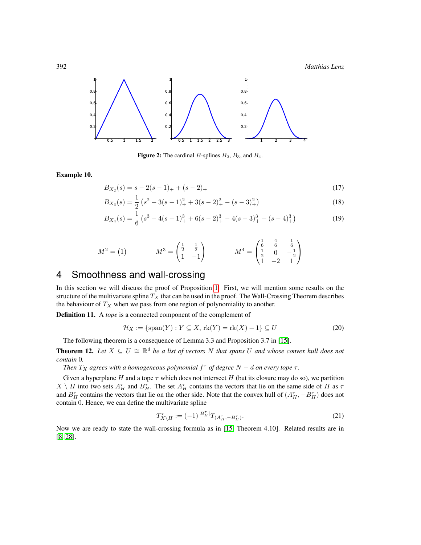392 *Matthias Lenz*



<span id="page-5-1"></span>Figure 2: The cardinal B-splines  $B_2$ ,  $B_3$ , and  $B_4$ .

Example 10.

$$
B_{X_2}(s) = s - 2(s - 1)_{+} + (s - 2)_{+}
$$
\n(17)

$$
B_{X_3}(s) = \frac{1}{2} \left( s^2 - 3(s-1)_+^2 + 3(s-2)_+^2 - (s-3)_+^2 \right) \tag{18}
$$

$$
B_{X_4}(s) = \frac{1}{6} \left( s^3 - 4(s-1)_+^3 + 6(s-2)_+^3 - 4(s-3)_+^3 + (s-4)_+^3 \right) \tag{19}
$$

$$
M^{2} = (1) \qquad \qquad M^{3} = \begin{pmatrix} \frac{1}{2} & \frac{1}{2} \\ 1 & -1 \end{pmatrix} \qquad \qquad M^{4} = \begin{pmatrix} \frac{1}{6} & \frac{4}{6} & \frac{1}{6} \\ \frac{1}{2} & 0 & -\frac{1}{2} \\ 1 & -2 & 1 \end{pmatrix}
$$

# <span id="page-5-0"></span>4 Smoothness and wall-crossing

In this section we will discuss the proof of Proposition [1.](#page-2-1) First, we will mention some results on the structure of the multivariate spline  $T_X$  that can be used in the proof. The Wall-Crossing Theorem describes the behaviour of  $T_X$  when we pass from one region of polynomiality to another.

Definition 11. A *tope* is a connected component of the complement of

$$
\mathcal{H}_X := \{ \text{span}(Y) : Y \subseteq X, \text{rk}(Y) = \text{rk}(X) - 1 \} \subseteq U \tag{20}
$$

The following theorem is a consequence of Lemma 3.3 and Proposition 3.7 in [\[15\]](#page-8-13).

<span id="page-5-2"></span>**Theorem 12.** Let  $X \subseteq U \cong \mathbb{R}^d$  be a list of vectors N that spans U and whose convex hull does not *contain* 0*.*

*Then*  $T_X$  *agrees with a homogeneous polynomial*  $f^{\dagger}$  *of degree*  $N - d$  *on every tope*  $\tau$ *.* 

Given a hyperplane H and a tope  $\tau$  which does not intersect H (but its closure may do so), we partition  $X \setminus H$  into two sets  $A_H^{\tau}$  and  $B_H^{\tau}$ . The set  $A_H^{\tau}$  contains the vectors that lie on the same side of H as  $\tau$ and  $B_H^{\tau}$  contains the vectors that lie on the other side. Note that the convex hull of  $(A_H^{\tau}, -B_H^{\tau})$  does not contain 0. Hence, we can define the multivariate spline

$$
T_{X\setminus H}^{\tau} := (-1)^{|B_H^{\tau}|} T_{(A_H^{\tau}, -B_H^{\tau})}.
$$
\n(21)

Now we are ready to state the wall-crossing formula as in [\[15,](#page-8-13) Theorem 4.10]. Related results are in [\[8,](#page-8-14) [28\]](#page-9-11).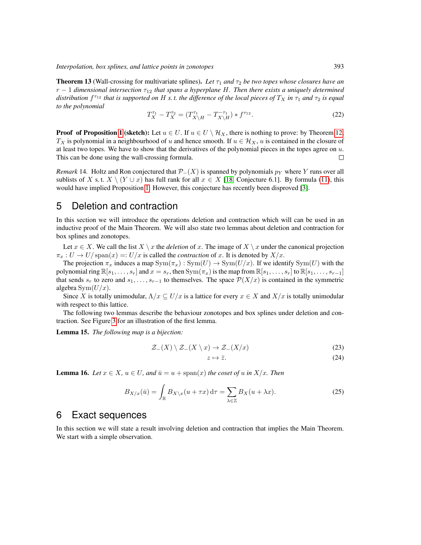**Theorem 13** (Wall-crossing for multivariate splines). Let  $\tau_1$  and  $\tau_2$  be two topes whose closures have an  $r - 1$  *dimensional intersection*  $\tau_{12}$  *that spans a hyperplane H. Then there exists a uniquely determined*  $d$ *istribution*  $f^{\tau_{12}}$  *that is supported on* H *s. t. the difference of the local pieces of*  $T_X$  *in*  $\tau_1$  *and*  $\tau_2$  *is equal to the polynomial*

$$
T_X^{\tau_1} - T_X^{\tau_2} = (T_{X \setminus H}^{\tau_1} - T_{X \setminus H}^{-\tau_1}) * f^{\tau_{12}}.
$$
\n(22)

**Proof of Proposition [1](#page-2-1) (sketch):** Let  $u \in U$ . If  $u \in U \setminus \mathcal{H}_X$ , there is nothing to prove: by Theorem [12,](#page-5-2)  $T_X$  is polynomial in a neighbourhood of u and hence smooth. If  $u \in \mathcal{H}_X$ , u is contained in the closure of at least two topes. We have to show that the derivatives of the polynomial pieces in the topes agree on  $u$ . This can be done using the wall-crossing formula.  $\Box$ 

*Remark* 14. Holtz and Ron conjectured that  $\mathcal{P}_-(X)$  is spanned by polynomials  $p_Y$  where Y runs over all sublists of X s.t.  $X \setminus (Y \cup x)$  has full rank for all  $x \in X$  [\[18,](#page-9-1) Conjecture 6.1]. By formula [\(11\)](#page-3-4), this would have implied Proposition [1.](#page-2-1) However, this conjecture has recently been disproved [\[3\]](#page-8-15).

### <span id="page-6-0"></span>5 Deletion and contraction

In this section we will introduce the operations deletion and contraction which will can be used in an inductive proof of the Main Theorem. We will also state two lemmas about deletion and contraction for box splines and zonotopes.

Let  $x \in X$ . We call the list  $X \setminus x$  the *deletion* of x. The image of  $X \setminus x$  under the canonical projection  $\pi_x : U \to U/\text{span}(x) =: U/x$  is called the *contraction* of x. It is denoted by  $X/x$ .

The projection  $\pi_x$  induces a map  $Sym(\pi_x) : Sym(U) \to Sym(U/x)$ . If we identify  $Sym(U)$  with the polynomial ring  $\mathbb{R}[s_1, \ldots, s_r]$  and  $x = s_r$ , then  $Sym(\pi_x)$  is the map from  $\mathbb{R}[s_1, \ldots, s_r]$  to  $\mathbb{R}[s_1, \ldots, s_{r-1}]$ that sends  $s_r$  to zero and  $s_1, \ldots, s_{r-1}$  to themselves. The space  $\mathcal{P}(X/x)$  is contained in the symmetric algebra  $Sym(U/x)$ .

Since X is totally unimodular,  $\Lambda/x \subseteq U/x$  is a lattice for every  $x \in X$  and  $X/x$  is totally unimodular with respect to this lattice.

The following two lemmas describe the behaviour zonotopes and box splines under deletion and contraction. See Figure [3](#page-7-0) for an illustration of the first lemma.

Lemma 15. *The following map is a bijection:*

$$
\mathcal{Z}_{-}(X) \setminus \mathcal{Z}_{-}(X \setminus x) \to \mathcal{Z}_{-}(X/x) \tag{23}
$$

$$
z \mapsto \bar{z}.\tag{24}
$$

**Lemma 16.** *Let*  $x \in X$ ,  $u \in U$ , and  $\bar{u} = u + \text{span}(x)$  *the coset of* u *in*  $X/x$ *. Then* 

$$
B_{X/x}(\bar{u}) = \int_{\mathbb{R}} B_{X \setminus x}(u + \tau x) d\tau = \sum_{\lambda \in \mathbb{Z}} B_X(u + \lambda x).
$$
 (25)

#### <span id="page-6-1"></span>6 Exact sequences

In this section we will state a result involving deletion and contraction that implies the Main Theorem. We start with a simple observation.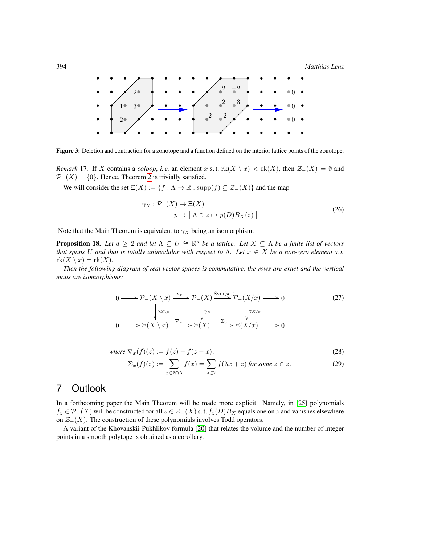394 *Matthias Lenz*



<span id="page-7-0"></span>Figure 3: Deletion and contraction for a zonotope and a function defined on the interior lattice points of the zonotope.

*Remark* 17. If X contains a *coloop*, *i.e.* an element x s.t.  $\text{rk}(X \setminus x) < \text{rk}(X)$ , then  $\mathcal{Z}_-(X) = \emptyset$  and  $\mathcal{P}_-(X) = \{0\}$ . Hence, Theorem [2](#page-2-0) is trivially satisfied.

We will consider the set  $\Xi(X) := \{f : \Lambda \to \mathbb{R} : \text{supp}(f) \subseteq \mathcal{Z}_-(X)\}\$  and the map

$$
\gamma_X : \mathcal{P}_-(X) \to \Xi(X)
$$
  
\n
$$
p \mapsto [\Lambda \ni z \mapsto p(D)B_X(z)]
$$
\n(26)

Note that the Main Theorem is equivalent to  $\gamma_X$  being an isomorphism.

**Proposition 18.** Let  $d \geq 2$  and let  $\Lambda \subseteq U \cong \mathbb{R}^d$  be a lattice. Let  $X \subseteq \Lambda$  be a finite list of vectors *that spans* U *and that is totally unimodular with respect to*  $\Lambda$ . Let  $x \in X$  be a non-zero element s.t.  $rk(X \setminus x) = rk(X)$ .

*Then the following diagram of real vector spaces is commutative, the rows are exact and the vertical maps are isomorphisms:*

$$
0 \longrightarrow \mathcal{P}_{-}(X \setminus x) \xrightarrow{\cdot p_{x}} \mathcal{P}_{-}(X) \xrightarrow{\text{Sym}(\pi_{x})} \mathcal{P}_{-}(X/x) \longrightarrow 0
$$
\n
$$
\downarrow \gamma_{X \setminus x} \qquad \qquad \downarrow \gamma_{X}
$$
\n
$$
0 \longrightarrow \Xi(X \setminus x) \xrightarrow{\nabla_{x}} \Xi(X) \xrightarrow{\Sigma_{x}} \Xi(X/x) \longrightarrow 0
$$
\n
$$
(27)
$$

where 
$$
\nabla_x(f)(z) := f(z) - f(z - x), \tag{28}
$$

$$
\Sigma_x(f)(\bar{z}) := \sum_{x \in \bar{z} \cap \Lambda} f(x) = \sum_{\lambda \in \mathbb{Z}} f(\lambda x + z) \text{ for some } z \in \bar{z}.
$$
 (29)

# 7 Outlook

In a forthcoming paper the Main Theorem will be made more explicit. Namely, in [\[25\]](#page-9-12) polynomials  $f_z \in \mathcal{P}_-(X)$  will be constructed for all  $z \in \mathcal{Z}_-(X)$  s. t.  $f_z(D)B_X$  equals one on z and vanishes elsewhere on  $\mathcal{Z}_-(X)$ . The construction of these polynomials involves Todd operators.

A variant of the Khovanskii-Pukhlikov formula [\[20\]](#page-9-13) that relates the volume and the number of integer points in a smooth polytope is obtained as a corollary.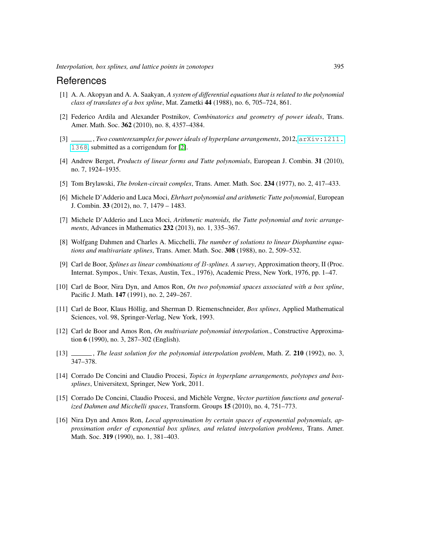### References

- <span id="page-8-4"></span>[1] A. A. Akopyan and A. A. Saakyan, *A system of differential equations that is related to the polynomial class of translates of a box spline*, Mat. Zametki 44 (1988), no. 6, 705–724, 861.
- <span id="page-8-7"></span>[2] Federico Ardila and Alexander Postnikov, *Combinatorics and geometry of power ideals*, Trans. Amer. Math. Soc. 362 (2010), no. 8, 4357–4384.
- <span id="page-8-15"></span>[3] , *Two counterexamples for power ideals of hyperplane arrangements*, 2012, [arXiv:1211.](arXiv:1211.1368) [1368](arXiv:1211.1368), submitted as a corrigendum for [\[2\]](#page-8-7).
- <span id="page-8-8"></span>[4] Andrew Berget, *Products of linear forms and Tutte polynomials*, European J. Combin. 31 (2010), no. 7, 1924–1935.
- <span id="page-8-9"></span>[5] Tom Brylawski, *The broken-circuit complex*, Trans. Amer. Math. Soc. 234 (1977), no. 2, 417–433.
- <span id="page-8-10"></span>[6] Michele D'Adderio and Luca Moci, *Ehrhart polynomial and arithmetic Tutte polynomial*, European J. Combin. 33 (2012), no. 7, 1479 – 1483.
- <span id="page-8-11"></span>[7] Michele D'Adderio and Luca Moci, *Arithmetic matroids, the Tutte polynomial and toric arrangements*, Advances in Mathematics 232 (2013), no. 1, 335–367.
- <span id="page-8-14"></span>[8] Wolfgang Dahmen and Charles A. Micchelli, *The number of solutions to linear Diophantine equations and multivariate splines*, Trans. Amer. Math. Soc. 308 (1988), no. 2, 509–532.
- <span id="page-8-12"></span>[9] Carl de Boor, *Splines as linear combinations of* B*-splines. A survey*, Approximation theory, II (Proc. Internat. Sympos., Univ. Texas, Austin, Tex., 1976), Academic Press, New York, 1976, pp. 1–47.
- <span id="page-8-5"></span>[10] Carl de Boor, Nira Dyn, and Amos Ron, *On two polynomial spaces associated with a box spline*, Pacific J. Math. 147 (1991), no. 2, 249–267.
- <span id="page-8-2"></span>[11] Carl de Boor, Klaus Höllig, and Sherman D. Riemenschneider, *Box splines*, Applied Mathematical Sciences, vol. 98, Springer-Verlag, New York, 1993.
- <span id="page-8-0"></span>[12] Carl de Boor and Amos Ron, *On multivariate polynomial interpolation.*, Constructive Approximation 6 (1990), no. 3, 287–302 (English).
- <span id="page-8-1"></span>[13] , *The least solution for the polynomial interpolation problem*, Math. Z. 210 (1992), no. 3, 347–378.
- <span id="page-8-3"></span>[14] Corrado De Concini and Claudio Procesi, *Topics in hyperplane arrangements, polytopes and boxsplines*, Universitext, Springer, New York, 2011.
- <span id="page-8-13"></span>[15] Corrado De Concini, Claudio Procesi, and Michele Vergne, ` *Vector partition functions and generalized Dahmen and Micchelli spaces*, Transform. Groups 15 (2010), no. 4, 751–773.
- <span id="page-8-6"></span>[16] Nira Dyn and Amos Ron, *Local approximation by certain spaces of exponential polynomials, approximation order of exponential box splines, and related interpolation problems*, Trans. Amer. Math. Soc. **319** (1990), no. 1, 381–403.